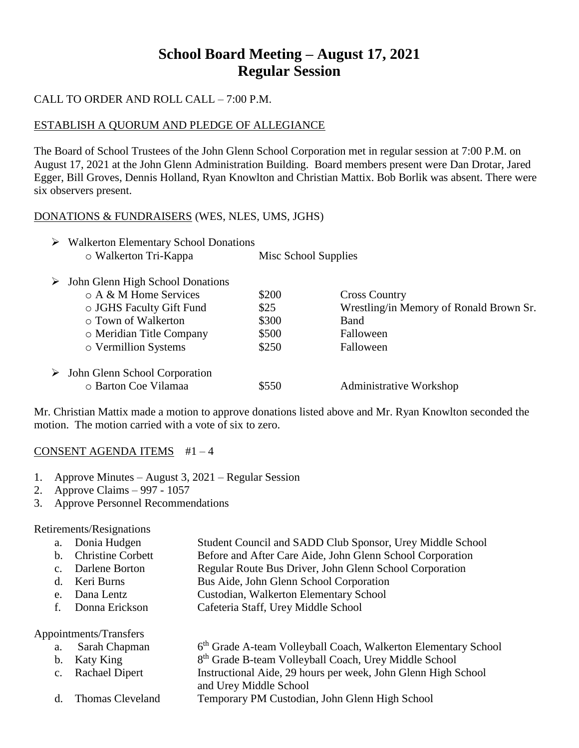# **School Board Meeting – August 17, 2021 Regular Session**

# CALL TO ORDER AND ROLL CALL – 7:00 P.M.

## ESTABLISH A QUORUM AND PLEDGE OF ALLEGIANCE

The Board of School Trustees of the John Glenn School Corporation met in regular session at 7:00 P.M. on August 17, 2021 at the John Glenn Administration Building. Board members present were Dan Drotar, Jared Egger, Bill Groves, Dennis Holland, Ryan Knowlton and Christian Mattix. Bob Borlik was absent. There were six observers present.

#### DONATIONS & FUNDRAISERS (WES, NLES, UMS, JGHS)

| ➤ | <b>Walkerton Elementary School Donations</b> |                      |                                         |
|---|----------------------------------------------|----------------------|-----------------------------------------|
|   | o Walkerton Tri-Kappa                        | Misc School Supplies |                                         |
| ➤ | John Glenn High School Donations             |                      |                                         |
|   | o A & M Home Services                        | \$200                | <b>Cross Country</b>                    |
|   | ○ JGHS Faculty Gift Fund                     | \$25                 | Wrestling/in Memory of Ronald Brown Sr. |
|   | ○ Town of Walkerton                          | \$300                | Band                                    |
|   | o Meridian Title Company                     | \$500                | Falloween                               |
|   | o Vermillion Systems                         | \$250                | Falloween                               |
| ➤ | John Glenn School Corporation                |                      |                                         |
|   | o Barton Coe Vilamaa                         | \$550                | <b>Administrative Workshop</b>          |

Mr. Christian Mattix made a motion to approve donations listed above and Mr. Ryan Knowlton seconded the motion. The motion carried with a vote of six to zero.

#### CONSENT AGENDA ITEMS #1 – 4

- 1. Approve Minutes August 3, 2021 Regular Session
- 2. Approve Claims 997 1057
- 3. Approve Personnel Recommendations

Retirements/Resignations

|  | a. Donia Hudgen |  | Student Council and SADD Club Sponsor, Urey Middle School |
|--|-----------------|--|-----------------------------------------------------------|
|--|-----------------|--|-----------------------------------------------------------|

- b. Christine Corbett Before and After Care Aide, John Glenn School Corporation
- c. Darlene Borton Regular Route Bus Driver, John Glenn School Corporation
- d. Keri Burns Bus Aide, John Glenn School Corporation
- e. Dana Lentz Custodian, Walkerton Elementary School
- f. Donna Erickson Cafeteria Staff, Urey Middle School

Appointments/Transfers

a. Sarah Chapman 6 6<sup>th</sup> Grade A-team Volleyball Coach, Walkerton Elementary School b. Katy King 8<sup>th</sup> Grade B-team Volleyball Coach, Urey Middle School c. Rachael Dipert Instructional Aide, 29 hours per week, John Glenn High School and Urey Middle School d. Thomas Cleveland Temporary PM Custodian, John Glenn High School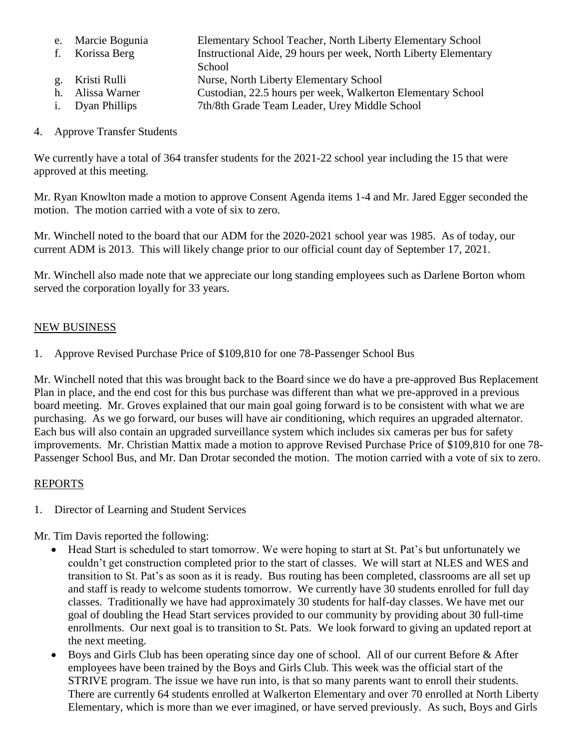- e. Marcie Bogunia Elementary School Teacher, North Liberty Elementary School
- f. Korissa Berg Instructional Aide, 29 hours per week, North Liberty Elementary **School**
- g. Kristi Rulli Nurse, North Liberty Elementary School
- h. Alissa Warner Custodian, 22.5 hours per week, Walkerton Elementary School
- i. Dyan Phillips 7th/8th Grade Team Leader, Urey Middle School

# 4. Approve Transfer Students

We currently have a total of 364 transfer students for the 2021-22 school year including the 15 that were approved at this meeting.

Mr. Ryan Knowlton made a motion to approve Consent Agenda items 1-4 and Mr. Jared Egger seconded the motion. The motion carried with a vote of six to zero.

Mr. Winchell noted to the board that our ADM for the 2020-2021 school year was 1985. As of today, our current ADM is 2013. This will likely change prior to our official count day of September 17, 2021.

Mr. Winchell also made note that we appreciate our long standing employees such as Darlene Borton whom served the corporation loyally for 33 years.

# NEW BUSINESS

1. Approve Revised Purchase Price of \$109,810 for one 78-Passenger School Bus

Mr. Winchell noted that this was brought back to the Board since we do have a pre-approved Bus Replacement Plan in place, and the end cost for this bus purchase was different than what we pre-approved in a previous board meeting. Mr. Groves explained that our main goal going forward is to be consistent with what we are purchasing. As we go forward, our buses will have air conditioning, which requires an upgraded alternator. Each bus will also contain an upgraded surveillance system which includes six cameras per bus for safety improvements. Mr. Christian Mattix made a motion to approve Revised Purchase Price of \$109,810 for one 78- Passenger School Bus, and Mr. Dan Drotar seconded the motion. The motion carried with a vote of six to zero.

## REPORTS

1. Director of Learning and Student Services

Mr. Tim Davis reported the following:

- Head Start is scheduled to start tomorrow. We were hoping to start at St. Pat's but unfortunately we couldn't get construction completed prior to the start of classes. We will start at NLES and WES and transition to St. Pat's as soon as it is ready. Bus routing has been completed, classrooms are all set up and staff is ready to welcome students tomorrow. We currently have 30 students enrolled for full day classes. Traditionally we have had approximately 30 students for half-day classes. We have met our goal of doubling the Head Start services provided to our community by providing about 30 full-time enrollments. Our next goal is to transition to St. Pats. We look forward to giving an updated report at the next meeting.
- Boys and Girls Club has been operating since day one of school. All of our current Before & After employees have been trained by the Boys and Girls Club. This week was the official start of the STRIVE program. The issue we have run into, is that so many parents want to enroll their students. There are currently 64 students enrolled at Walkerton Elementary and over 70 enrolled at North Liberty Elementary, which is more than we ever imagined, or have served previously. As such, Boys and Girls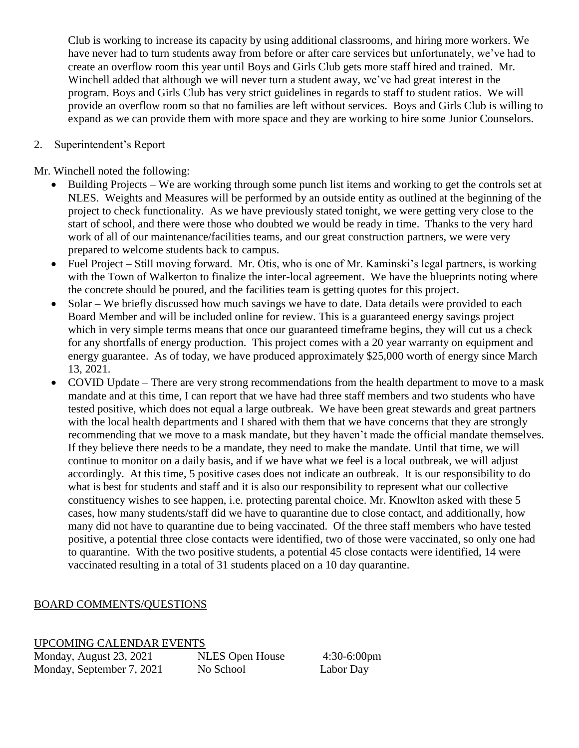Club is working to increase its capacity by using additional classrooms, and hiring more workers. We have never had to turn students away from before or after care services but unfortunately, we've had to create an overflow room this year until Boys and Girls Club gets more staff hired and trained. Mr. Winchell added that although we will never turn a student away, we've had great interest in the program. Boys and Girls Club has very strict guidelines in regards to staff to student ratios. We will provide an overflow room so that no families are left without services. Boys and Girls Club is willing to expand as we can provide them with more space and they are working to hire some Junior Counselors.

#### 2. Superintendent's Report

Mr. Winchell noted the following:

- Building Projects We are working through some punch list items and working to get the controls set at NLES. Weights and Measures will be performed by an outside entity as outlined at the beginning of the project to check functionality. As we have previously stated tonight, we were getting very close to the start of school, and there were those who doubted we would be ready in time. Thanks to the very hard work of all of our maintenance/facilities teams, and our great construction partners, we were very prepared to welcome students back to campus.
- Fuel Project Still moving forward. Mr. Otis, who is one of Mr. Kaminski's legal partners, is working with the Town of Walkerton to finalize the inter-local agreement. We have the blueprints noting where the concrete should be poured, and the facilities team is getting quotes for this project.
- Solar We briefly discussed how much savings we have to date. Data details were provided to each Board Member and will be included online for review. This is a guaranteed energy savings project which in very simple terms means that once our guaranteed timeframe begins, they will cut us a check for any shortfalls of energy production. This project comes with a 20 year warranty on equipment and energy guarantee. As of today, we have produced approximately \$25,000 worth of energy since March 13, 2021.
- COVID Update There are very strong recommendations from the health department to move to a mask mandate and at this time, I can report that we have had three staff members and two students who have tested positive, which does not equal a large outbreak. We have been great stewards and great partners with the local health departments and I shared with them that we have concerns that they are strongly recommending that we move to a mask mandate, but they haven't made the official mandate themselves. If they believe there needs to be a mandate, they need to make the mandate. Until that time, we will continue to monitor on a daily basis, and if we have what we feel is a local outbreak, we will adjust accordingly. At this time, 5 positive cases does not indicate an outbreak. It is our responsibility to do what is best for students and staff and it is also our responsibility to represent what our collective constituency wishes to see happen, i.e. protecting parental choice. Mr. Knowlton asked with these 5 cases, how many students/staff did we have to quarantine due to close contact, and additionally, how many did not have to quarantine due to being vaccinated. Of the three staff members who have tested positive, a potential three close contacts were identified, two of those were vaccinated, so only one had to quarantine. With the two positive students, a potential 45 close contacts were identified, 14 were vaccinated resulting in a total of 31 students placed on a 10 day quarantine.

## BOARD COMMENTS/QUESTIONS

UPCOMING CALENDAR EVENTS

Monday, August 23, 2021 NLES Open House 4:30-6:00pm Monday, September 7, 2021 No School Labor Day